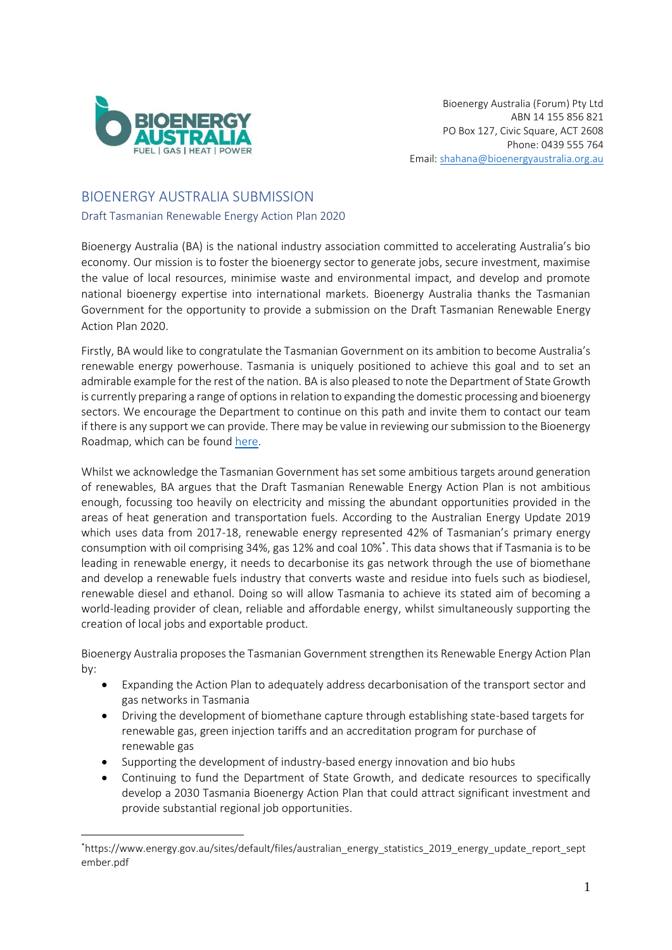

# BIOENERGY AUSTRALIA SUBMISSION

Draft Tasmanian Renewable Energy Action Plan 2020

Bioenergy Australia (BA) is the national industry association committed to accelerating Australia's bio economy. Our mission is to foster the bioenergy sector to generate jobs, secure investment, maximise the value of local resources, minimise waste and environmental impact, and develop and promote national bioenergy expertise into international markets. Bioenergy Australia thanks the Tasmanian Government for the opportunity to provide a submission on the Draft Tasmanian Renewable Energy Action Plan 2020.

Firstly, BA would like to congratulate the Tasmanian Government on its ambition to become Australia's renewable energy powerhouse. Tasmania is uniquely positioned to achieve this goal and to set an admirable example for the rest of the nation. BA is also pleased to note the Department of State Growth is currently preparing a range of options in relation to expanding the domestic processing and bioenergy sectors. We encourage the Department to continue on this path and invite them to contact our team if there is any support we can provide. There may be value in reviewing our submission to the Bioenergy Roadmap, which can be found [here.](https://cdn.revolutionise.com.au/cups/bioenergy/files/zbtftbcz3kpwd9vq.pdf)

Whilst we acknowledge the Tasmanian Government has set some ambitious targets around generation of renewables, BA argues that the Draft Tasmanian Renewable Energy Action Plan is not ambitious enough, focussing too heavily on electricity and missing the abundant opportunities provided in the areas of heat generation and transportation fuels. According to the Australian Energy Update 2019 which uses data from 2017-18, renewable energy represented 42% of Tasmanian's primary energy consumption with oil comprising 34%, gas 12% and coal 10%\* . This data shows that if Tasmania is to be leading in renewable energy, it needs to decarbonise its gas network through the use of biomethane and develop a renewable fuels industry that converts waste and residue into fuels such as biodiesel, renewable diesel and ethanol. Doing so will allow Tasmania to achieve its stated aim of becoming a world-leading provider of clean, reliable and affordable energy, whilst simultaneously supporting the creation of local jobs and exportable product.

Bioenergy Australia proposes the Tasmanian Government strengthen its Renewable Energy Action Plan by:

- Expanding the Action Plan to adequately address decarbonisation of the transport sector and gas networks in Tasmania
- Driving the development of biomethane capture through establishing state-based targets for renewable gas, green injection tariffs and an accreditation program for purchase of renewable gas
- Supporting the development of industry-based energy innovation and bio hubs
- Continuing to fund the Department of State Growth, and dedicate resources to specifically develop a 2030 Tasmania Bioenergy Action Plan that could attract significant investment and provide substantial regional job opportunities.

<sup>\*</sup>https://www.energy.gov.au/sites/default/files/australian\_energy\_statistics\_2019\_energy\_update\_report\_sept ember.pdf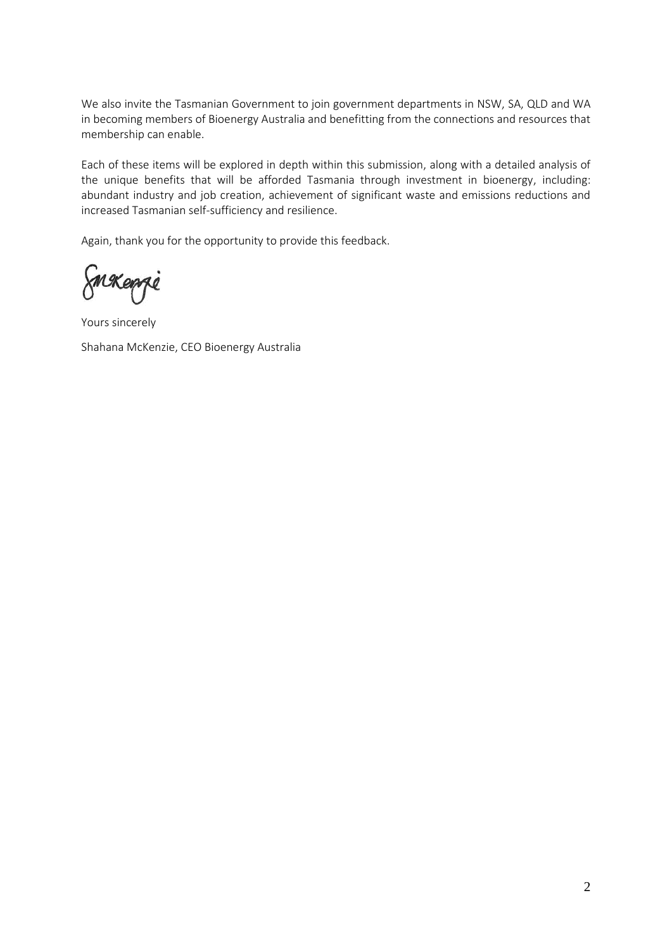We also invite the Tasmanian Government to join government departments in NSW, SA, QLD and WA in becoming members of Bioenergy Australia and benefitting from the connections and resources that membership can enable.

Each of these items will be explored in depth within this submission, along with a detailed analysis of the unique benefits that will be afforded Tasmania through investment in bioenergy, including: abundant industry and job creation, achievement of significant waste and emissions reductions and increased Tasmanian self-sufficiency and resilience.

Again, thank you for the opportunity to provide this feedback.

Smakenge

Yours sincerely Shahana McKenzie, CEO Bioenergy Australia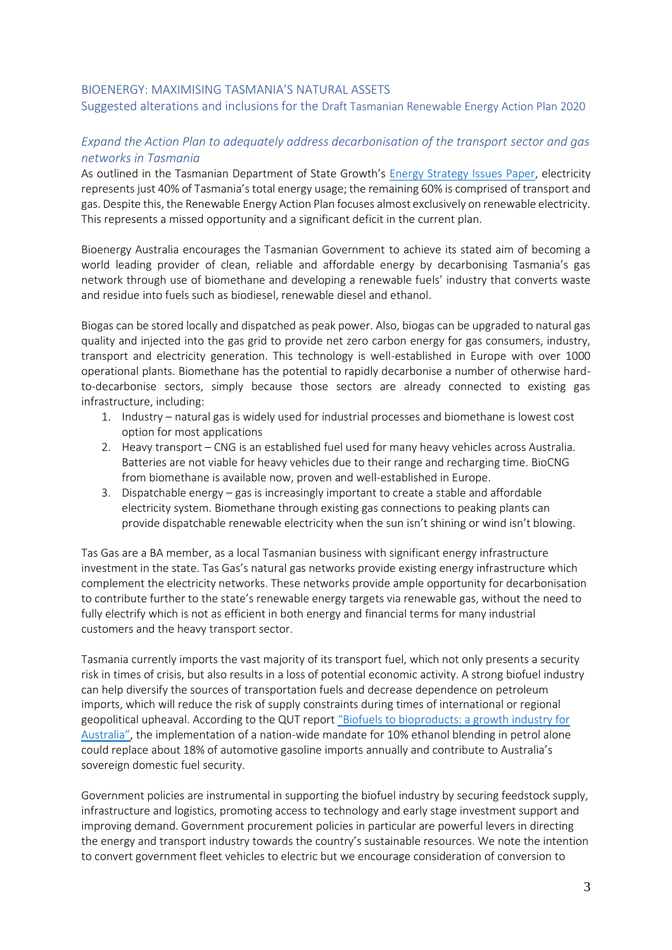#### BIOENERGY: MAXIMISING TASMANIA'S NATURAL ASSETS

Suggested alterations and inclusions for the Draft Tasmanian Renewable Energy Action Plan 2020

### *Expand the Action Plan to adequately address decarbonisation of the transport sector and gas networks in Tasmania*

As outlined in the Tasmanian Department of State Growth's [Energy Strategy Issues Paper,](https://www.stategrowth.tas.gov.au/__data/assets/pdf_file/0005/90815/Energy_Strategy_Issues_Paper.pdf) electricity represents just 40% of Tasmania's total energy usage; the remaining 60% is comprised of transport and gas. Despite this, the Renewable Energy Action Plan focuses almost exclusively on renewable electricity. This represents a missed opportunity and a significant deficit in the current plan.

Bioenergy Australia encourages the Tasmanian Government to achieve its stated aim of becoming a world leading provider of clean, reliable and affordable energy by decarbonising Tasmania's gas network through use of biomethane and developing a renewable fuels' industry that converts waste and residue into fuels such as biodiesel, renewable diesel and ethanol.

Biogas can be stored locally and dispatched as peak power. Also, biogas can be upgraded to natural gas quality and injected into the gas grid to provide net zero carbon energy for gas consumers, industry, transport and electricity generation. This technology is well-established in Europe with over 1000 operational plants. Biomethane has the potential to rapidly decarbonise a number of otherwise hardto-decarbonise sectors, simply because those sectors are already connected to existing gas infrastructure, including:

- 1. Industry natural gas is widely used for industrial processes and biomethane is lowest cost option for most applications
- 2. Heavy transport CNG is an established fuel used for many heavy vehicles across Australia. Batteries are not viable for heavy vehicles due to their range and recharging time. BioCNG from biomethane is available now, proven and well-established in Europe.
- 3. Dispatchable energy gas is increasingly important to create a stable and affordable electricity system. Biomethane through existing gas connections to peaking plants can provide dispatchable renewable electricity when the sun isn't shining or wind isn't blowing.

Tas Gas are a BA member, as a local Tasmanian business with significant energy infrastructure investment in the state. Tas Gas's natural gas networks provide existing energy infrastructure which complement the electricity networks. These networks provide ample opportunity for decarbonisation to contribute further to the state's renewable energy targets via renewable gas, without the need to fully electrify which is not as efficient in both energy and financial terms for many industrial customers and the heavy transport sector.

Tasmania currently imports the vast majority of its transport fuel, which not only presents a security risk in times of crisis, but also results in a loss of potential economic activity. A strong biofuel industry can help diversify the sources of transportation fuels and decrease dependence on petroleum imports, which will reduce the risk of supply constraints during times of international or regional geopolitical upheaval. According to the QUT report "Biofu[els to bioproducts: a growth industry for](https://www.dropbox.com/s/4ipthrygu5gk6m4/QUT%20Discussion%20Paper%20-%20No%20bleed%20FINAL.pdf?dl=0)  [Australia"](https://www.dropbox.com/s/4ipthrygu5gk6m4/QUT%20Discussion%20Paper%20-%20No%20bleed%20FINAL.pdf?dl=0), the implementation of a nation-wide mandate for 10% ethanol blending in petrol alone could replace about 18% of automotive gasoline imports annually and contribute to Australia's sovereign domestic fuel security.

Government policies are instrumental in supporting the biofuel industry by securing feedstock supply, infrastructure and logistics, promoting access to technology and early stage investment support and improving demand. Government procurement policies in particular are powerful levers in directing the energy and transport industry towards the country's sustainable resources. We note the intention to convert government fleet vehicles to electric but we encourage consideration of conversion to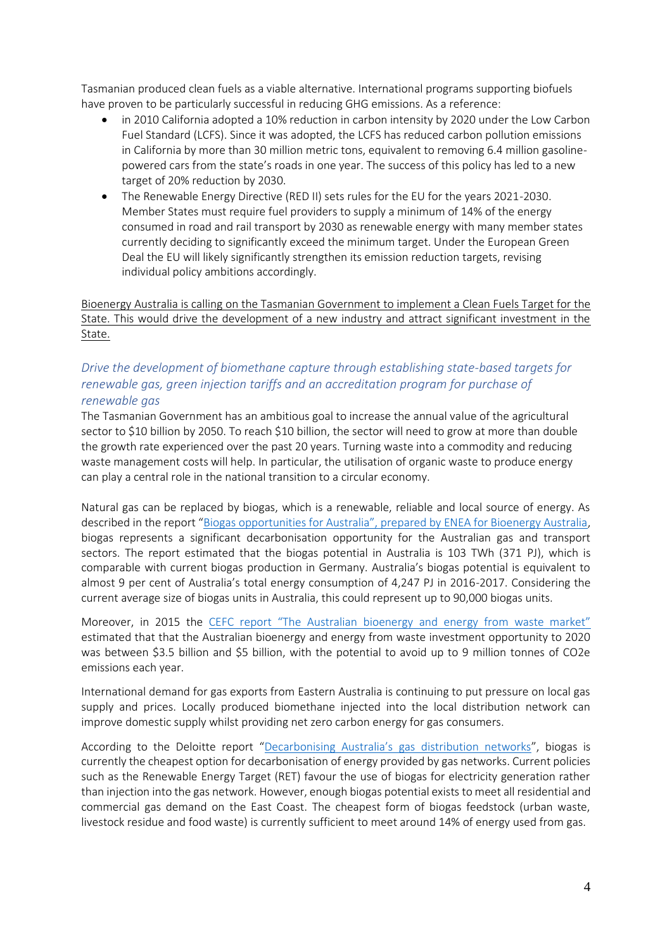Tasmanian produced clean fuels as a viable alternative. International programs supporting biofuels have proven to be particularly successful in reducing GHG emissions. As a reference:

- in 2010 California adopted a 10% reduction in carbon intensity by 2020 under the Low Carbon Fuel Standard (LCFS). Since it was adopted, the LCFS has reduced carbon pollution emissions in California by more than 30 million metric tons, equivalent to removing 6.4 million gasolinepowered cars from the state's roads in one year. The success of this policy has led to a new target of 20% reduction by 2030.
- The Renewable Energy Directive (RED II) sets rules for the EU for the years 2021-2030. Member States must require fuel providers to supply a minimum of 14% of the energy consumed in road and rail transport by 2030 as renewable energy with many member states currently deciding to significantly exceed the minimum target. Under the European Green Deal the EU will likely significantly strengthen its emission reduction targets, revising individual policy ambitions accordingly.

Bioenergy Australia is calling on the Tasmanian Government to implement a Clean Fuels Target for the State. This would drive the development of a new industry and attract significant investment in the State.

## *Drive the development of biomethane capture through establishing state-based targets for renewable gas, green injection tariffs and an accreditation program for purchase of renewable gas*

The Tasmanian Government has an ambitious goal to increase the annual value of the agricultural sector to \$10 billion by 2050. To reach \$10 billion, the sector will need to grow at more than double the growth rate experienced over the past 20 years. Turning waste into a commodity and reducing waste management costs will help. In particular, the utilisation of organic waste to produce energy can play a central role in the national transition to a circular economy.

Natural gas can be replaced by biogas, which is a renewable, reliable and local source of energy. As described in the report "Bioga[s opportunities for Australia", prepared by ENEA for Bioenergy Australia](https://s3-ap-southeast-2.amazonaws.com/piano.revolutionise.com.au/cups/bioenergy/files/2za1rgxbisjqxcme.pdf), biogas represents a significant decarbonisation opportunity for the Australian gas and transport sectors. The report estimated that the biogas potential in Australia is 103 TWh (371 PJ), which is comparable with current biogas production in Germany. Australia's biogas potential is equivalent to almost 9 per cent of Australia's total energy consumption of 4,247 PJ in 2016-2017. Considering the current average size of biogas units in Australia, this could represent up to 90,000 biogas units.

Moreover, in 2015 the [CEFC report "The Australian bioenergy and energy from waste market"](https://www.cefc.com.au/media/107567/the-australian-bioenergy-and-energy-from-waste-market-cefc-market-report.pdf) estimated that that the Australian bioenergy and energy from waste investment opportunity to 2020 was between \$3.5 billion and \$5 billion, with the potential to avoid up to 9 million tonnes of CO2e emissions each year.

International demand for gas exports from Eastern Australia is continuing to put pressure on local gas supply and prices. Locally produced biomethane injected into the local distribution network can improve domestic supply whilst providing net zero carbon energy for gas consumers.

According to the Deloitte report ["Decarbonising Australia's gas distribution networks"](https://www.energynetworks.com.au/assets/uploads/054496_tg_decarbonising_australias_gas_network_final.pdf), biogas is currently the cheapest option for decarbonisation of energy provided by gas networks. Current policies such as the Renewable Energy Target (RET) favour the use of biogas for electricity generation rather than injection into the gas network. However, enough biogas potential exists to meet all residential and commercial gas demand on the East Coast. The cheapest form of biogas feedstock (urban waste, livestock residue and food waste) is currently sufficient to meet around 14% of energy used from gas.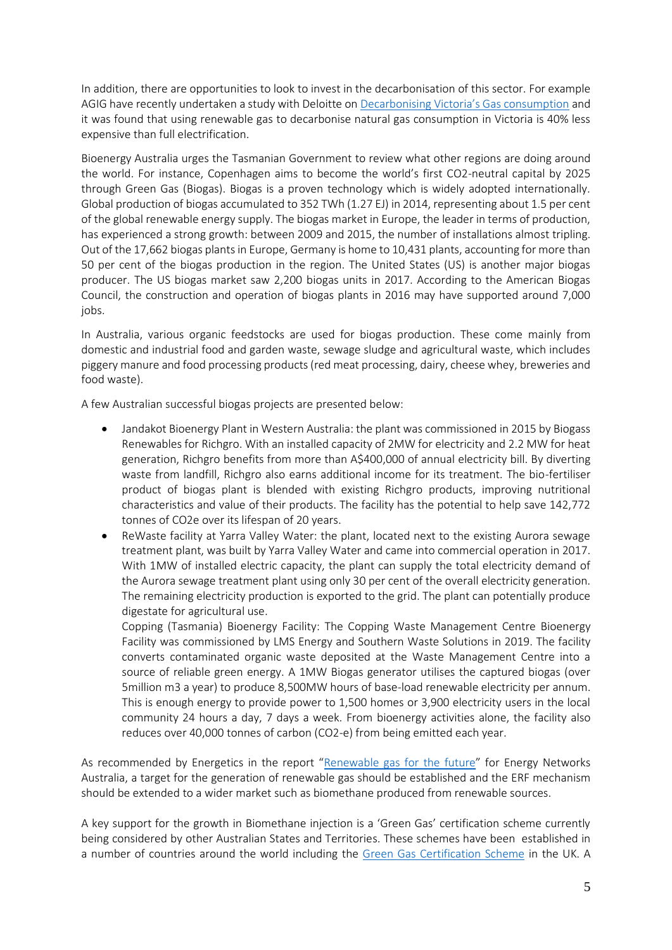In addition, there are opportunities to look to invest in the decarbonisation of this sector. For example AGIG have recently undertaken a study with Deloitte on D[ecarbonising Victoria's Gas consumption](https://www.energynetworks.com.au/assets/uploads/08232018_decarbonising_victorian_gas_consumption_-_final.pdf) and it was found that using renewable gas to decarbonise natural gas consumption in Victoria is 40% less expensive than full electrification.

Bioenergy Australia urges the Tasmanian Government to review what other regions are doing around the world. For instance, Copenhagen aims to become the world's first CO2-neutral capital by 2025 through Green Gas (Biogas). Biogas is a proven technology which is widely adopted internationally. Global production of biogas accumulated to 352 TWh (1.27 EJ) in 2014, representing about 1.5 per cent of the global renewable energy supply. The biogas market in Europe, the leader in terms of production, has experienced a strong growth: between 2009 and 2015, the number of installations almost tripling. Out of the 17,662 biogas plants in Europe, Germany is home to 10,431 plants, accounting for more than 50 per cent of the biogas production in the region. The United States (US) is another major biogas producer. The US biogas market saw 2,200 biogas units in 2017. According to the American Biogas Council, the construction and operation of biogas plants in 2016 may have supported around 7,000 jobs.

In Australia, various organic feedstocks are used for biogas production. These come mainly from domestic and industrial food and garden waste, sewage sludge and agricultural waste, which includes piggery manure and food processing products (red meat processing, dairy, cheese whey, breweries and food waste).

A few Australian successful biogas projects are presented below:

- Jandakot Bioenergy Plant in Western Australia: the plant was commissioned in 2015 by Biogass Renewables for Richgro. With an installed capacity of 2MW for electricity and 2.2 MW for heat generation, Richgro benefits from more than A\$400,000 of annual electricity bill. By diverting waste from landfill, Richgro also earns additional income for its treatment. The bio-fertiliser product of biogas plant is blended with existing Richgro products, improving nutritional characteristics and value of their products. The facility has the potential to help save 142,772 tonnes of CO2e over its lifespan of 20 years.
- ReWaste facility at Yarra Valley Water: the plant, located next to the existing Aurora sewage treatment plant, was built by Yarra Valley Water and came into commercial operation in 2017. With 1MW of installed electric capacity, the plant can supply the total electricity demand of the Aurora sewage treatment plant using only 30 per cent of the overall electricity generation. The remaining electricity production is exported to the grid. The plant can potentially produce digestate for agricultural use.

Copping (Tasmania) Bioenergy Facility: The Copping Waste Management Centre Bioenergy Facility was commissioned by LMS Energy and Southern Waste Solutions in 2019. The facility converts contaminated organic waste deposited at the Waste Management Centre into a source of reliable green energy. A 1MW Biogas generator utilises the captured biogas (over 5million m3 a year) to produce 8,500MW hours of base-load renewable electricity per annum. This is enough energy to provide power to 1,500 homes or 3,900 electricity users in the local community 24 hours a day, 7 days a week. From bioenergy activities alone, the facility also reduces over 40,000 tonnes of carbon (CO2-e) from being emitted each year.

As recommended by Energetics in the report "[Renewable gas for the future](https://www.energynetworks.com.au/assets/uploads/renewable_gas_for_the_future_energetics_final.pdf)" for Energy Networks Australia, a target for the generation of renewable gas should be established and the ERF mechanism should be extended to a wider market such as biomethane produced from renewable sources.

A key support for the growth in Biomethane injection is a 'Green Gas' certification scheme currently being considered by other Australian States and Territories. These schemes have been established in a number of countries around the world including the [Green Gas Certification Scheme](https://www.greengas.org.uk/) in the UK. A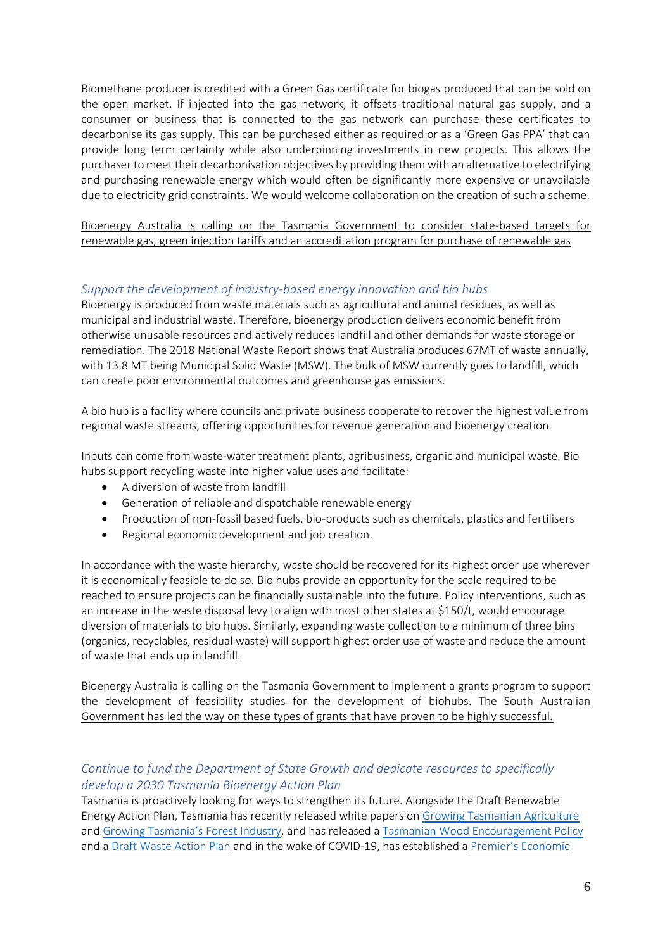Biomethane producer is credited with a Green Gas certificate for biogas produced that can be sold on the open market. If injected into the gas network, it offsets traditional natural gas supply, and a consumer or business that is connected to the gas network can purchase these certificates to decarbonise its gas supply. This can be purchased either as required or as a 'Green Gas PPA' that can provide long term certainty while also underpinning investments in new projects. This allows the purchaser to meet their decarbonisation objectives by providing them with an alternative to electrifying and purchasing renewable energy which would often be significantly more expensive or unavailable due to electricity grid constraints. We would welcome collaboration on the creation of such a scheme.

Bioenergy Australia is calling on the Tasmania Government to consider state-based targets for renewable gas, green injection tariffs and an accreditation program for purchase of renewable gas

## *Support the development of industry-based energy innovation and bio hubs*

Bioenergy is produced from waste materials such as agricultural and animal residues, as well as municipal and industrial waste. Therefore, bioenergy production delivers economic benefit from otherwise unusable resources and actively reduces landfill and other demands for waste storage or remediation. The 2018 National Waste Report shows that Australia produces 67MT of waste annually, with 13.8 MT being Municipal Solid Waste (MSW). The bulk of MSW currently goes to landfill, which can create poor environmental outcomes and greenhouse gas emissions.

A bio hub is a facility where councils and private business cooperate to recover the highest value from regional waste streams, offering opportunities for revenue generation and bioenergy creation.

Inputs can come from waste-water treatment plants, agribusiness, organic and municipal waste. Bio hubs support recycling waste into higher value uses and facilitate:

- A diversion of waste from landfill
- Generation of reliable and dispatchable renewable energy
- Production of non-fossil based fuels, bio-products such as chemicals, plastics and fertilisers
- Regional economic development and job creation.

In accordance with the waste hierarchy, waste should be recovered for its highest order use wherever it is economically feasible to do so. Bio hubs provide an opportunity for the scale required to be reached to ensure projects can be financially sustainable into the future. Policy interventions, such as an increase in the waste disposal levy to align with most other states at \$150/t, would encourage diversion of materials to bio hubs. Similarly, expanding waste collection to a minimum of three bins (organics, recyclables, residual waste) will support highest order use of waste and reduce the amount of waste that ends up in landfill.

Bioenergy Australia is calling on the Tasmania Government to implement a grants program to support the development of feasibility studies for the development of biohubs. The South Australian Government has led the way on these types of grants that have proven to be highly successful.

### *Continue to fund the Department of State Growth and dedicate resources to specifically develop a 2030 Tasmania Bioenergy Action Plan*

Tasmania is proactively looking for ways to strengthen its future. Alongside the Draft Renewable Energy Action Plan, Tasmania has recently released white papers on [Growing Tasmanian Agriculture](https://dpipwe.tas.gov.au/Documents/Growing%20Tas%20Agriculture-RDE%20for%202050.pdf) and [Growing Tasmania's Forest Industry](http://www.premier.tas.gov.au/releases/growing_tasmanias_forest_industry), and has released a [Tasmanian Wood Encouragement Policy](https://www.stategrowth.tas.gov.au/energy_and_resources/forestry/tasmanian_wood_encouragement_policy#:~:text=The%20Policy%20ensures%20sustainably%20sourced,it%20represents%20value%20for%20money) and a [Draft Waste Action Plan](https://dpipwe.tas.gov.au/Documents/Draft%20Waste%20Action%20Plan.pdf) and in the wake of COVID-19, has established a [Premier's Economic](https://www.pesrac.tas.gov.au/home)